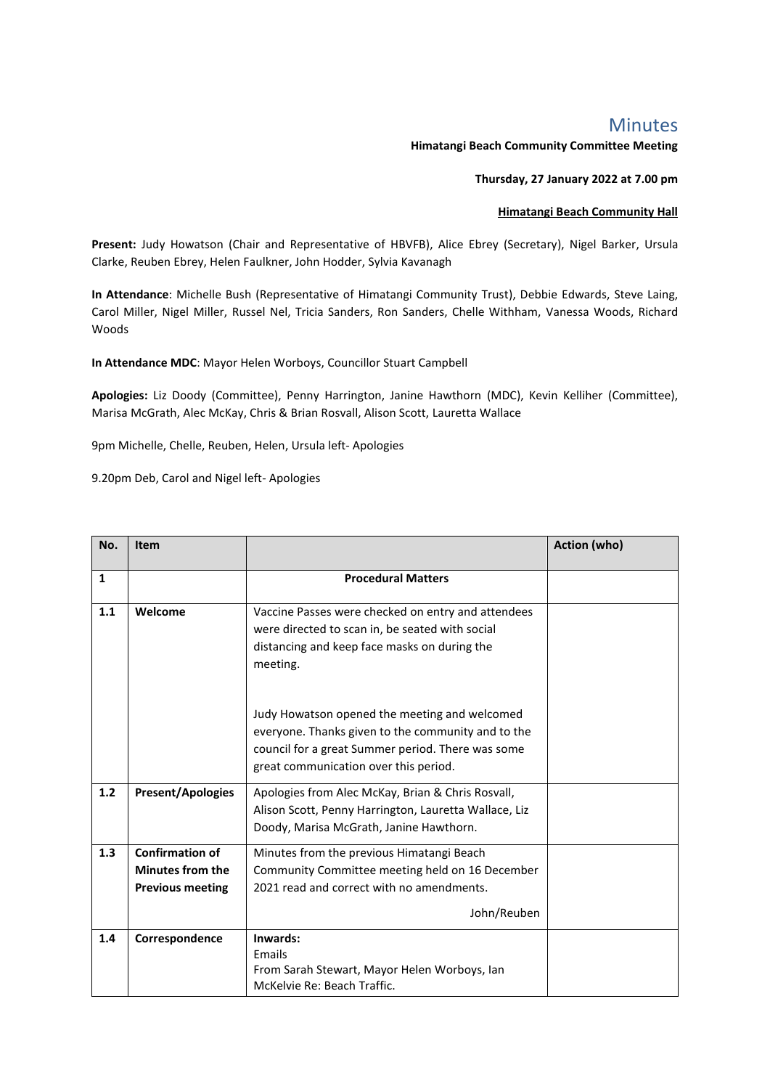## Minutes

**Himatangi Beach Community Committee Meeting**

**Thursday, 27 January 2022 at 7.00 pm**

## **Himatangi Beach Community Hall**

**Present:** Judy Howatson (Chair and Representative of HBVFB), Alice Ebrey (Secretary), Nigel Barker, Ursula Clarke, Reuben Ebrey, Helen Faulkner, John Hodder, Sylvia Kavanagh

**In Attendance**: Michelle Bush (Representative of Himatangi Community Trust), Debbie Edwards, Steve Laing, Carol Miller, Nigel Miller, Russel Nel, Tricia Sanders, Ron Sanders, Chelle Withham, Vanessa Woods, Richard Woods

**In Attendance MDC**: Mayor Helen Worboys, Councillor Stuart Campbell

**Apologies:** Liz Doody (Committee), Penny Harrington, Janine Hawthorn (MDC), Kevin Kelliher (Committee), Marisa McGrath, Alec McKay, Chris & Brian Rosvall, Alison Scott, Lauretta Wallace

9pm Michelle, Chelle, Reuben, Helen, Ursula left- Apologies

9.20pm Deb, Carol and Nigel left- Apologies

| No. | <b>Item</b>              |                                                       | <b>Action (who)</b> |
|-----|--------------------------|-------------------------------------------------------|---------------------|
| 1   |                          | <b>Procedural Matters</b>                             |                     |
|     |                          |                                                       |                     |
| 1.1 | Welcome                  | Vaccine Passes were checked on entry and attendees    |                     |
|     |                          | were directed to scan in, be seated with social       |                     |
|     |                          | distancing and keep face masks on during the          |                     |
|     |                          | meeting.                                              |                     |
|     |                          |                                                       |                     |
|     |                          | Judy Howatson opened the meeting and welcomed         |                     |
|     |                          | everyone. Thanks given to the community and to the    |                     |
|     |                          | council for a great Summer period. There was some     |                     |
|     |                          | great communication over this period.                 |                     |
|     |                          |                                                       |                     |
| 1.2 | <b>Present/Apologies</b> | Apologies from Alec McKay, Brian & Chris Rosvall,     |                     |
|     |                          | Alison Scott, Penny Harrington, Lauretta Wallace, Liz |                     |
|     |                          | Doody, Marisa McGrath, Janine Hawthorn.               |                     |
| 1.3 | <b>Confirmation of</b>   | Minutes from the previous Himatangi Beach             |                     |
|     | <b>Minutes from the</b>  | Community Committee meeting held on 16 December       |                     |
|     | <b>Previous meeting</b>  | 2021 read and correct with no amendments.             |                     |
|     |                          | John/Reuben                                           |                     |
|     |                          |                                                       |                     |
| 1.4 | Correspondence           | Inwards:                                              |                     |
|     |                          | Emails                                                |                     |
|     |                          | From Sarah Stewart, Mayor Helen Worboys, Ian          |                     |
|     |                          | McKelvie Re: Beach Traffic.                           |                     |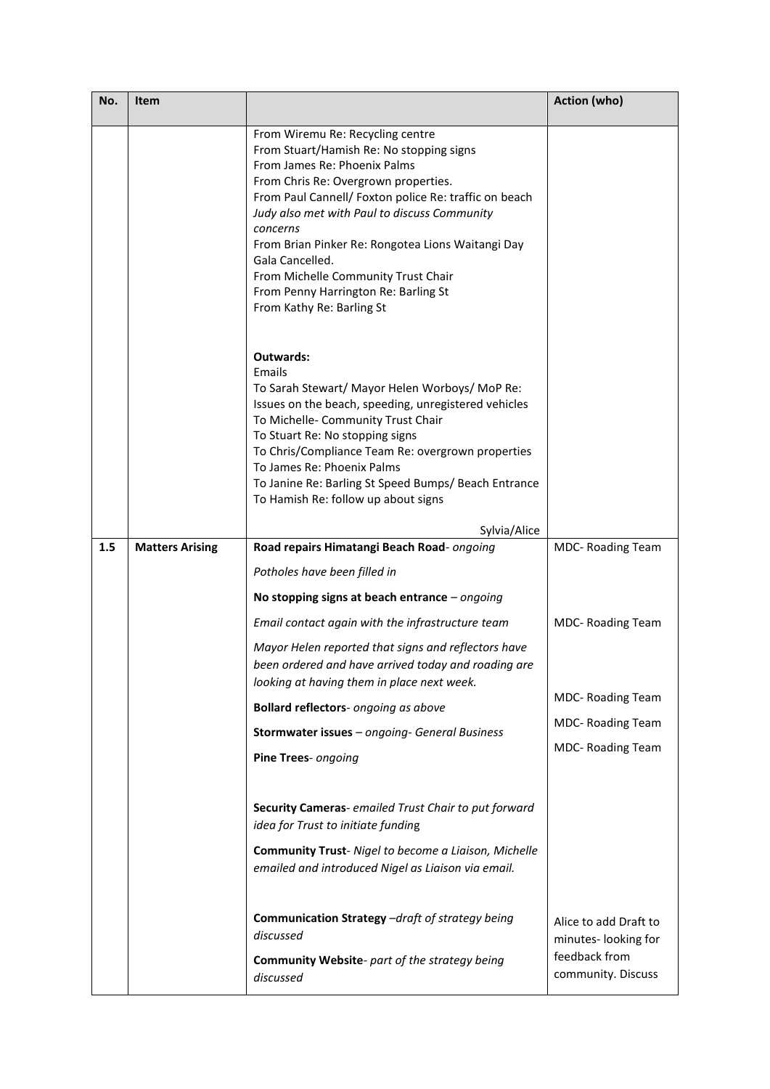| No. | Item                   |                                                                                                                                                                                                                                                                                                                                                                                                                                                               | <b>Action (who)</b>                          |
|-----|------------------------|---------------------------------------------------------------------------------------------------------------------------------------------------------------------------------------------------------------------------------------------------------------------------------------------------------------------------------------------------------------------------------------------------------------------------------------------------------------|----------------------------------------------|
|     |                        | From Wiremu Re: Recycling centre<br>From Stuart/Hamish Re: No stopping signs<br>From James Re: Phoenix Palms<br>From Chris Re: Overgrown properties.<br>From Paul Cannell/ Foxton police Re: traffic on beach<br>Judy also met with Paul to discuss Community<br>concerns<br>From Brian Pinker Re: Rongotea Lions Waitangi Day<br>Gala Cancelled.<br>From Michelle Community Trust Chair<br>From Penny Harrington Re: Barling St<br>From Kathy Re: Barling St |                                              |
|     |                        | Outwards:<br>Emails<br>To Sarah Stewart/ Mayor Helen Worboys/ MoP Re:<br>Issues on the beach, speeding, unregistered vehicles<br>To Michelle- Community Trust Chair<br>To Stuart Re: No stopping signs<br>To Chris/Compliance Team Re: overgrown properties<br>To James Re: Phoenix Palms<br>To Janine Re: Barling St Speed Bumps/ Beach Entrance<br>To Hamish Re: follow up about signs<br>Sylvia/Alice                                                      |                                              |
| 1.5 | <b>Matters Arising</b> | Road repairs Himatangi Beach Road- ongoing                                                                                                                                                                                                                                                                                                                                                                                                                    | MDC-Roading Team                             |
|     |                        | Potholes have been filled in                                                                                                                                                                                                                                                                                                                                                                                                                                  |                                              |
|     |                        | No stopping signs at beach entrance $-$ ongoing                                                                                                                                                                                                                                                                                                                                                                                                               |                                              |
|     |                        | Email contact again with the infrastructure team                                                                                                                                                                                                                                                                                                                                                                                                              | MDC- Roading Team                            |
|     |                        | Mayor Helen reported that signs and reflectors have<br>been ordered and have arrived today and roading are<br>looking at having them in place next week.                                                                                                                                                                                                                                                                                                      |                                              |
|     |                        | Bollard reflectors- ongoing as above                                                                                                                                                                                                                                                                                                                                                                                                                          | <b>MDC- Roading Team</b>                     |
|     |                        | Stormwater issues - ongoing- General Business                                                                                                                                                                                                                                                                                                                                                                                                                 | <b>MDC- Roading Team</b>                     |
|     |                        | Pine Trees- ongoing                                                                                                                                                                                                                                                                                                                                                                                                                                           | MDC-Roading Team                             |
|     |                        | Security Cameras- emailed Trust Chair to put forward<br>idea for Trust to initiate funding<br>Community Trust- Nigel to become a Liaison, Michelle<br>emailed and introduced Nigel as Liaison via email.                                                                                                                                                                                                                                                      |                                              |
|     |                        | Communication Strategy -draft of strategy being<br>discussed                                                                                                                                                                                                                                                                                                                                                                                                  | Alice to add Draft to<br>minutes-looking for |
|     |                        | <b>Community Website-</b> part of the strategy being<br>discussed                                                                                                                                                                                                                                                                                                                                                                                             | feedback from<br>community. Discuss          |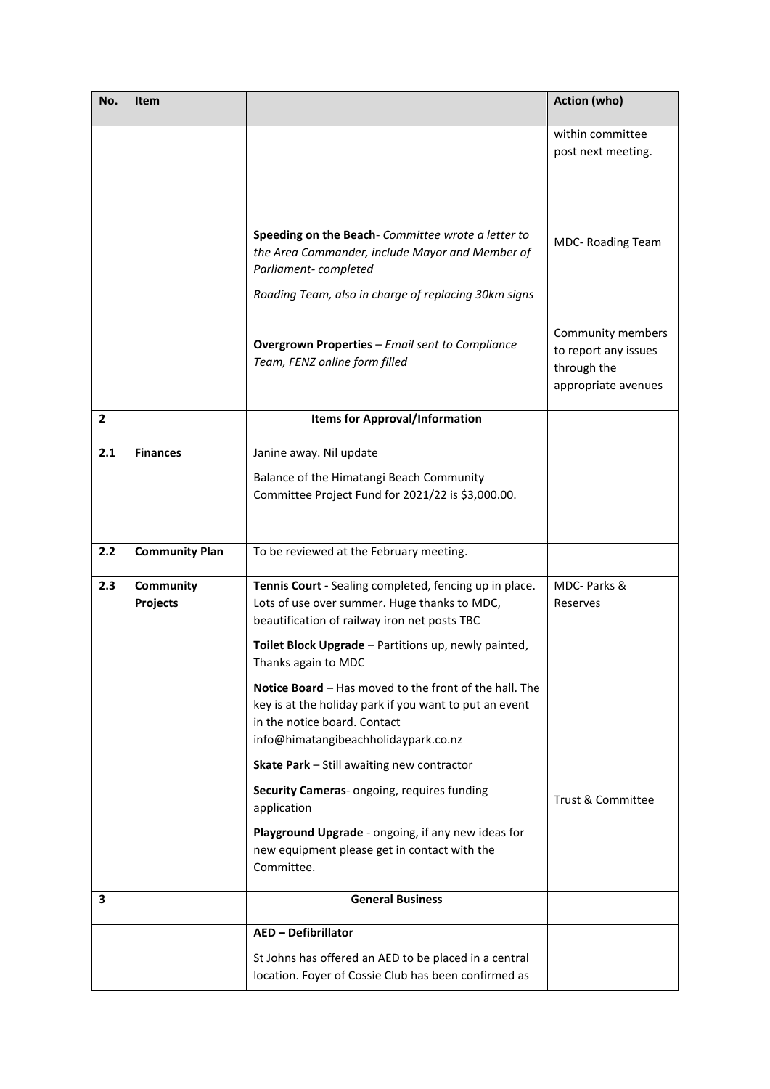| No.            | Item                  |                                                                                                                                                                                          | Action (who)                                                                    |
|----------------|-----------------------|------------------------------------------------------------------------------------------------------------------------------------------------------------------------------------------|---------------------------------------------------------------------------------|
|                |                       |                                                                                                                                                                                          | within committee<br>post next meeting.                                          |
|                |                       |                                                                                                                                                                                          |                                                                                 |
|                |                       | Speeding on the Beach- Committee wrote a letter to<br>the Area Commander, include Mayor and Member of<br>Parliament-completed                                                            | MDC-Roading Team                                                                |
|                |                       | Roading Team, also in charge of replacing 30km signs                                                                                                                                     |                                                                                 |
|                |                       | <b>Overgrown Properties - Email sent to Compliance</b><br>Team, FENZ online form filled                                                                                                  | Community members<br>to report any issues<br>through the<br>appropriate avenues |
| $\overline{2}$ |                       | <b>Items for Approval/Information</b>                                                                                                                                                    |                                                                                 |
| 2.1            | <b>Finances</b>       | Janine away. Nil update                                                                                                                                                                  |                                                                                 |
|                |                       | Balance of the Himatangi Beach Community                                                                                                                                                 |                                                                                 |
|                |                       | Committee Project Fund for 2021/22 is \$3,000.00.                                                                                                                                        |                                                                                 |
|                |                       |                                                                                                                                                                                          |                                                                                 |
| 2.2            | <b>Community Plan</b> | To be reviewed at the February meeting.                                                                                                                                                  |                                                                                 |
| 2.3            | Community<br>Projects | Tennis Court - Sealing completed, fencing up in place.<br>Lots of use over summer. Huge thanks to MDC,<br>beautification of railway iron net posts TBC                                   | MDC- Parks &<br>Reserves                                                        |
|                |                       | Toilet Block Upgrade - Partitions up, newly painted,<br>Thanks again to MDC                                                                                                              |                                                                                 |
|                |                       | Notice Board - Has moved to the front of the hall. The<br>key is at the holiday park if you want to put an event<br>in the notice board. Contact<br>info@himatangibeachholidaypark.co.nz |                                                                                 |
|                |                       | Skate Park - Still awaiting new contractor                                                                                                                                               |                                                                                 |
|                |                       | Security Cameras- ongoing, requires funding<br>application                                                                                                                               | <b>Trust &amp; Committee</b>                                                    |
|                |                       | Playground Upgrade - ongoing, if any new ideas for<br>new equipment please get in contact with the<br>Committee.                                                                         |                                                                                 |
| 3              |                       | <b>General Business</b>                                                                                                                                                                  |                                                                                 |
|                |                       | <b>AED - Defibrillator</b>                                                                                                                                                               |                                                                                 |
|                |                       | St Johns has offered an AED to be placed in a central<br>location. Foyer of Cossie Club has been confirmed as                                                                            |                                                                                 |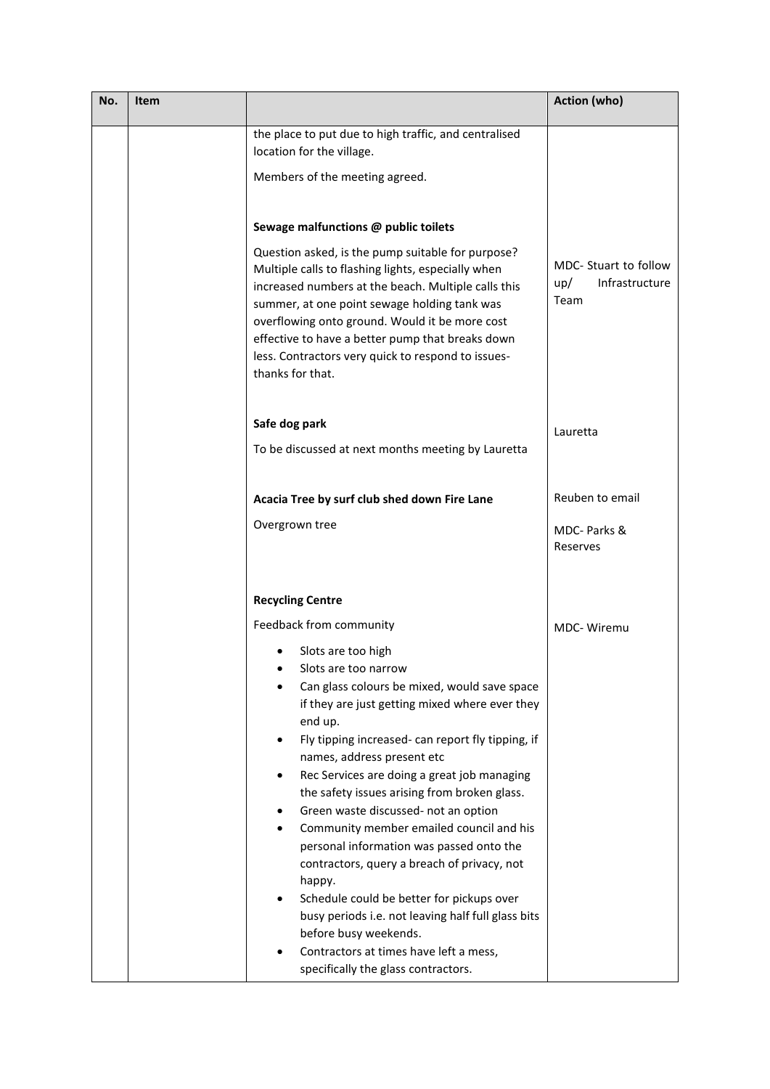| No. | Item |                                                                                                                                                                                                                                                                                                                                                                                                | Action (who)                                           |
|-----|------|------------------------------------------------------------------------------------------------------------------------------------------------------------------------------------------------------------------------------------------------------------------------------------------------------------------------------------------------------------------------------------------------|--------------------------------------------------------|
|     |      | the place to put due to high traffic, and centralised<br>location for the village.<br>Members of the meeting agreed.                                                                                                                                                                                                                                                                           |                                                        |
|     |      |                                                                                                                                                                                                                                                                                                                                                                                                |                                                        |
|     |      | Sewage malfunctions @ public toilets                                                                                                                                                                                                                                                                                                                                                           |                                                        |
|     |      | Question asked, is the pump suitable for purpose?<br>Multiple calls to flashing lights, especially when<br>increased numbers at the beach. Multiple calls this<br>summer, at one point sewage holding tank was<br>overflowing onto ground. Would it be more cost<br>effective to have a better pump that breaks down<br>less. Contractors very quick to respond to issues-<br>thanks for that. | MDC- Stuart to follow<br>Infrastructure<br>up/<br>Team |
|     |      | Safe dog park                                                                                                                                                                                                                                                                                                                                                                                  | Lauretta                                               |
|     |      | To be discussed at next months meeting by Lauretta                                                                                                                                                                                                                                                                                                                                             |                                                        |
|     |      | Acacia Tree by surf club shed down Fire Lane                                                                                                                                                                                                                                                                                                                                                   | Reuben to email                                        |
|     |      | Overgrown tree                                                                                                                                                                                                                                                                                                                                                                                 | MDC- Parks &<br>Reserves                               |
|     |      | <b>Recycling Centre</b>                                                                                                                                                                                                                                                                                                                                                                        |                                                        |
|     |      | Feedback from community                                                                                                                                                                                                                                                                                                                                                                        | MDC-Wiremu                                             |
|     |      | Slots are too high<br>Slots are too narrow                                                                                                                                                                                                                                                                                                                                                     |                                                        |
|     |      | Can glass colours be mixed, would save space<br>if they are just getting mixed where ever they<br>end up.                                                                                                                                                                                                                                                                                      |                                                        |
|     |      | Fly tipping increased- can report fly tipping, if<br>names, address present etc                                                                                                                                                                                                                                                                                                                |                                                        |
|     |      | Rec Services are doing a great job managing<br>the safety issues arising from broken glass.                                                                                                                                                                                                                                                                                                    |                                                        |
|     |      | Green waste discussed- not an option                                                                                                                                                                                                                                                                                                                                                           |                                                        |
|     |      | Community member emailed council and his<br>personal information was passed onto the                                                                                                                                                                                                                                                                                                           |                                                        |
|     |      | contractors, query a breach of privacy, not                                                                                                                                                                                                                                                                                                                                                    |                                                        |
|     |      | happy.<br>Schedule could be better for pickups over                                                                                                                                                                                                                                                                                                                                            |                                                        |
|     |      | busy periods i.e. not leaving half full glass bits                                                                                                                                                                                                                                                                                                                                             |                                                        |
|     |      | before busy weekends.<br>Contractors at times have left a mess,                                                                                                                                                                                                                                                                                                                                |                                                        |
|     |      | specifically the glass contractors.                                                                                                                                                                                                                                                                                                                                                            |                                                        |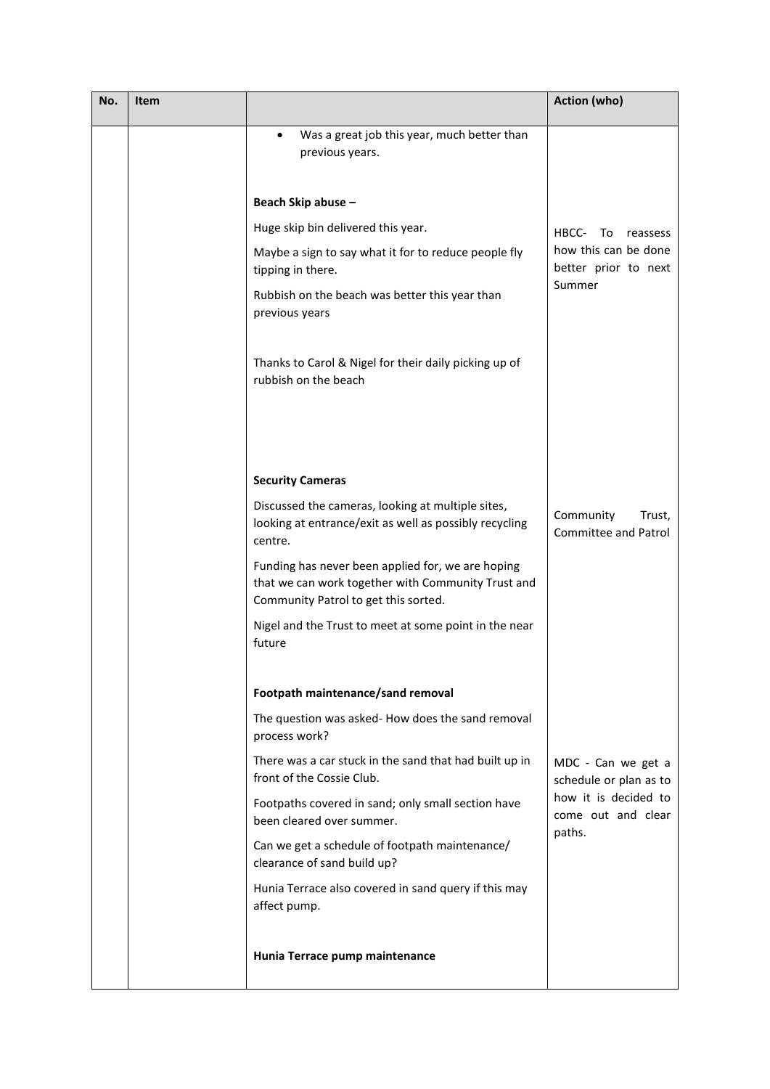| No. | Item |                                                                                                                                                 | Action (who)                                         |
|-----|------|-------------------------------------------------------------------------------------------------------------------------------------------------|------------------------------------------------------|
|     |      | Was a great job this year, much better than<br>previous years.                                                                                  |                                                      |
|     |      | Beach Skip abuse -                                                                                                                              |                                                      |
|     |      | Huge skip bin delivered this year.                                                                                                              | HBCC-<br>To<br>reassess                              |
|     |      | Maybe a sign to say what it for to reduce people fly<br>tipping in there.                                                                       | how this can be done<br>better prior to next         |
|     |      | Rubbish on the beach was better this year than<br>previous years                                                                                | Summer                                               |
|     |      | Thanks to Carol & Nigel for their daily picking up of<br>rubbish on the beach                                                                   |                                                      |
|     |      |                                                                                                                                                 |                                                      |
|     |      | <b>Security Cameras</b>                                                                                                                         |                                                      |
|     |      | Discussed the cameras, looking at multiple sites,<br>looking at entrance/exit as well as possibly recycling<br>centre.                          | Community<br>Trust,<br><b>Committee and Patrol</b>   |
|     |      | Funding has never been applied for, we are hoping<br>that we can work together with Community Trust and<br>Community Patrol to get this sorted. |                                                      |
|     |      | Nigel and the Trust to meet at some point in the near<br>future                                                                                 |                                                      |
|     |      | Footpath maintenance/sand removal                                                                                                               |                                                      |
|     |      | The question was asked-How does the sand removal<br>process work?                                                                               |                                                      |
|     |      | There was a car stuck in the sand that had built up in<br>front of the Cossie Club.                                                             | MDC - Can we get a<br>schedule or plan as to         |
|     |      | Footpaths covered in sand; only small section have<br>been cleared over summer.                                                                 | how it is decided to<br>come out and clear<br>paths. |
|     |      | Can we get a schedule of footpath maintenance/<br>clearance of sand build up?                                                                   |                                                      |
|     |      | Hunia Terrace also covered in sand query if this may<br>affect pump.                                                                            |                                                      |
|     |      | Hunia Terrace pump maintenance                                                                                                                  |                                                      |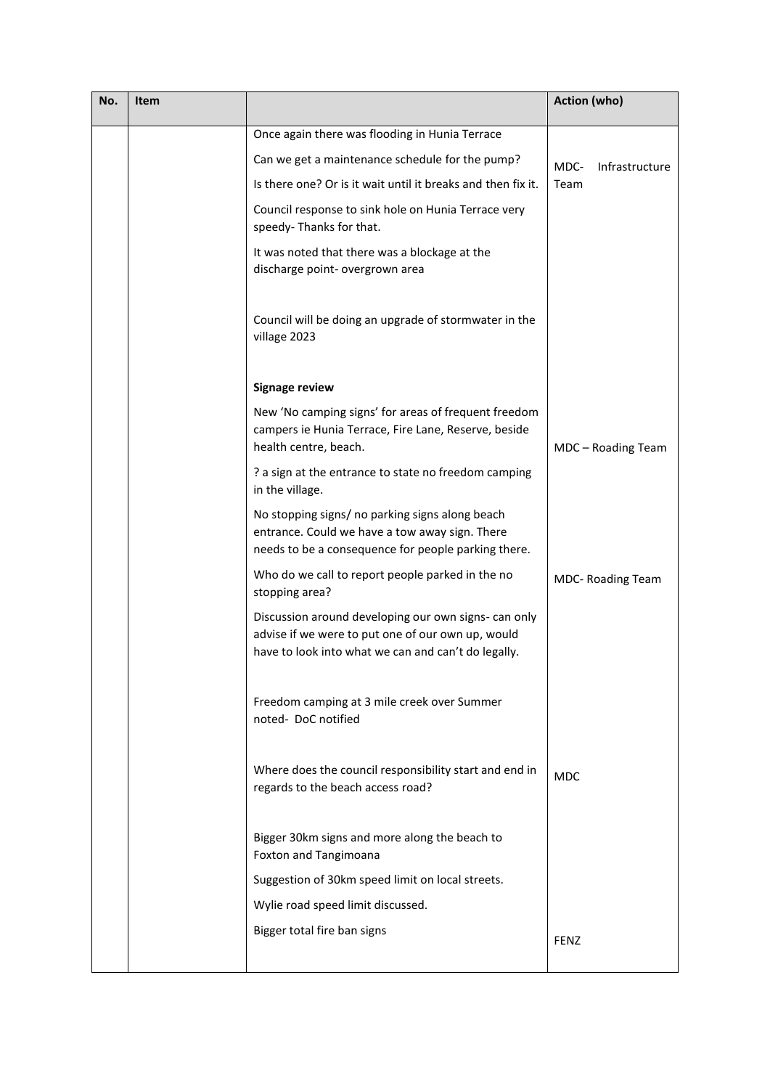| No. | Item |                                                                                                                                                                  | <b>Action (who)</b>    |
|-----|------|------------------------------------------------------------------------------------------------------------------------------------------------------------------|------------------------|
|     |      | Once again there was flooding in Hunia Terrace                                                                                                                   |                        |
|     |      | Can we get a maintenance schedule for the pump?                                                                                                                  | MDC-<br>Infrastructure |
|     |      | Is there one? Or is it wait until it breaks and then fix it.                                                                                                     | Team                   |
|     |      | Council response to sink hole on Hunia Terrace very<br>speedy- Thanks for that.                                                                                  |                        |
|     |      | It was noted that there was a blockage at the<br>discharge point- overgrown area                                                                                 |                        |
|     |      | Council will be doing an upgrade of stormwater in the<br>village 2023                                                                                            |                        |
|     |      | <b>Signage review</b>                                                                                                                                            |                        |
|     |      | New 'No camping signs' for areas of frequent freedom<br>campers ie Hunia Terrace, Fire Lane, Reserve, beside<br>health centre, beach.                            | MDC - Roading Team     |
|     |      | ? a sign at the entrance to state no freedom camping<br>in the village.                                                                                          |                        |
|     |      | No stopping signs/ no parking signs along beach<br>entrance. Could we have a tow away sign. There<br>needs to be a consequence for people parking there.         |                        |
|     |      | Who do we call to report people parked in the no<br>stopping area?                                                                                               | MDC- Roading Team      |
|     |      | Discussion around developing our own signs- can only<br>advise if we were to put one of our own up, would<br>have to look into what we can and can't do legally. |                        |
|     |      | Freedom camping at 3 mile creek over Summer<br>noted-DoC notified                                                                                                |                        |
|     |      | Where does the council responsibility start and end in<br>regards to the beach access road?                                                                      | <b>MDC</b>             |
|     |      | Bigger 30km signs and more along the beach to<br>Foxton and Tangimoana                                                                                           |                        |
|     |      | Suggestion of 30km speed limit on local streets.                                                                                                                 |                        |
|     |      | Wylie road speed limit discussed.                                                                                                                                |                        |
|     |      | Bigger total fire ban signs                                                                                                                                      | <b>FENZ</b>            |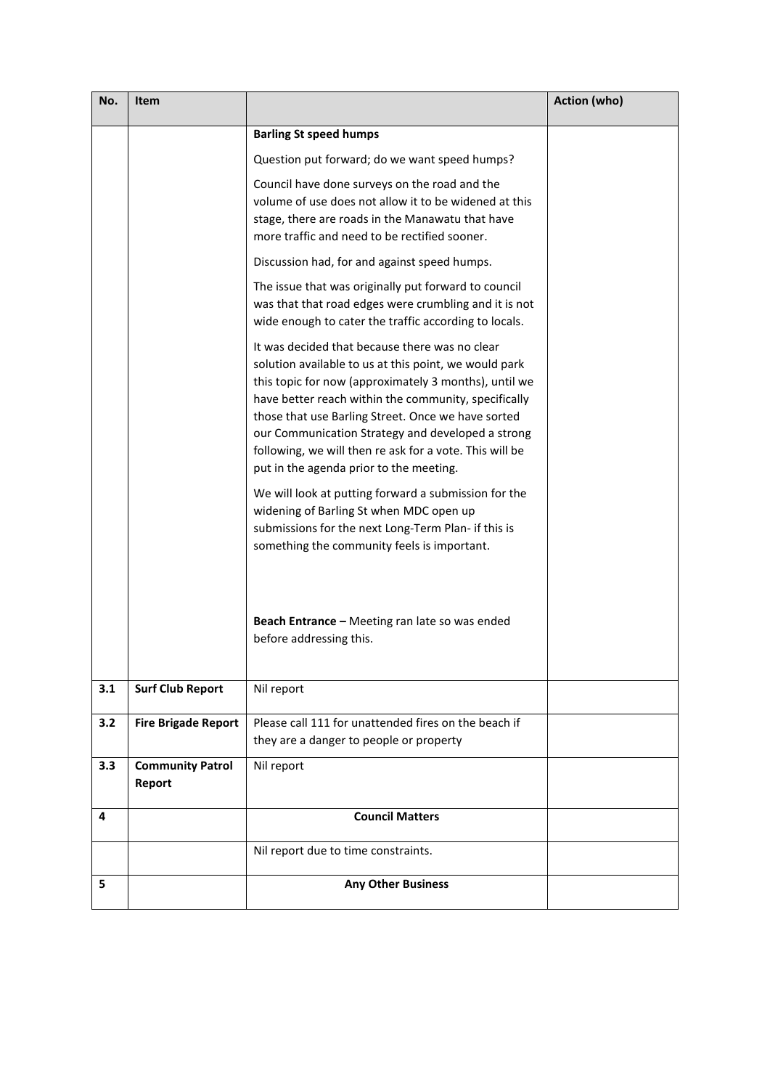| No. | Item                              |                                                                                                                                                                                                                                                                                                                                                                                                                                           | <b>Action (who)</b> |
|-----|-----------------------------------|-------------------------------------------------------------------------------------------------------------------------------------------------------------------------------------------------------------------------------------------------------------------------------------------------------------------------------------------------------------------------------------------------------------------------------------------|---------------------|
|     |                                   | <b>Barling St speed humps</b>                                                                                                                                                                                                                                                                                                                                                                                                             |                     |
|     |                                   | Question put forward; do we want speed humps?                                                                                                                                                                                                                                                                                                                                                                                             |                     |
|     |                                   | Council have done surveys on the road and the<br>volume of use does not allow it to be widened at this<br>stage, there are roads in the Manawatu that have<br>more traffic and need to be rectified sooner.                                                                                                                                                                                                                               |                     |
|     |                                   | Discussion had, for and against speed humps.                                                                                                                                                                                                                                                                                                                                                                                              |                     |
|     |                                   | The issue that was originally put forward to council<br>was that that road edges were crumbling and it is not<br>wide enough to cater the traffic according to locals.                                                                                                                                                                                                                                                                    |                     |
|     |                                   | It was decided that because there was no clear<br>solution available to us at this point, we would park<br>this topic for now (approximately 3 months), until we<br>have better reach within the community, specifically<br>those that use Barling Street. Once we have sorted<br>our Communication Strategy and developed a strong<br>following, we will then re ask for a vote. This will be<br>put in the agenda prior to the meeting. |                     |
|     |                                   | We will look at putting forward a submission for the<br>widening of Barling St when MDC open up<br>submissions for the next Long-Term Plan- if this is<br>something the community feels is important.                                                                                                                                                                                                                                     |                     |
|     |                                   | Beach Entrance - Meeting ran late so was ended<br>before addressing this.                                                                                                                                                                                                                                                                                                                                                                 |                     |
| 3.1 | <b>Surf Club Report</b>           | Nil report                                                                                                                                                                                                                                                                                                                                                                                                                                |                     |
| 3.2 | <b>Fire Brigade Report</b>        | Please call 111 for unattended fires on the beach if<br>they are a danger to people or property                                                                                                                                                                                                                                                                                                                                           |                     |
| 3.3 | <b>Community Patrol</b><br>Report | Nil report                                                                                                                                                                                                                                                                                                                                                                                                                                |                     |
| 4   |                                   | <b>Council Matters</b>                                                                                                                                                                                                                                                                                                                                                                                                                    |                     |
|     |                                   | Nil report due to time constraints.                                                                                                                                                                                                                                                                                                                                                                                                       |                     |
| 5   |                                   | <b>Any Other Business</b>                                                                                                                                                                                                                                                                                                                                                                                                                 |                     |